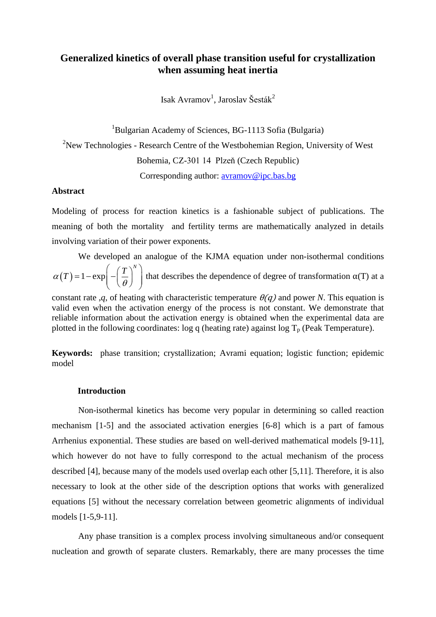# **Generalized kinetics of overall phase transition useful for crystallization when assuming heat inertia**

Isak Avramov<sup>1</sup>, Jaroslav Šesták<sup>2</sup>

<sup>1</sup>Bulgarian Academy of Sciences, BG-1113 Sofia (Bulgaria) <sup>2</sup>New Technologies - Research Centre of the Westbohemian Region, University of West Bohemia, CZ-301 14 Plzeň (Czech Republic) Corresponding author: [avramov@ipc.bas.bg](mailto:avramov@ipc.bas.bg)

### **Abstract**

Modeling of process for reaction kinetics is a fashionable subject of publications. The meaning of both the mortality and fertility terms are mathematically analyzed in details involving variation of their power exponents.

We developed an analogue of the KJMA equation under non-isothermal conditions

 $\alpha(T) = 1 - \exp\left(-\left(\frac{T}{\theta}\right)^N\right)$  $\left(\frac{T}{\sqrt{T}}\right)^{N}$  the  $t = 1 - \exp\left(-\left(\frac{T}{\theta}\right)^{n}\right)$  that describes the dependence of degree of transformation  $\alpha(T)$  at a

constant rate ,*q*, of heating with characteristic temperature  $\theta(q)$  and power *N*. This equation is valid even when the activation energy of the process is not constant. We demonstrate that reliable information about the activation energy is obtained when the experimental data are plotted in the following coordinates: log q (heating rate) against log  $T_p$  (Peak Temperature).

**Keywords:** phase transition; crystallization; Avrami equation; logistic function; epidemic model

## **Introduction**

Non-isothermal kinetics has become very popular in determining so called reaction mechanism [1-5] and the associated activation energies [6-8] which is a part of famous Arrhenius exponential. These studies are based on well-derived mathematical models [9-11], which however do not have to fully correspond to the actual mechanism of the process described [4], because many of the models used overlap each other [5,11]. Therefore, it is also necessary to look at the other side of the description options that works with generalized equations [5] without the necessary correlation between geometric alignments of individual models [1-5,9-11].

Any phase transition is a complex process involving simultaneous and/or consequent nucleation and growth of separate clusters. Remarkably, there are many processes the time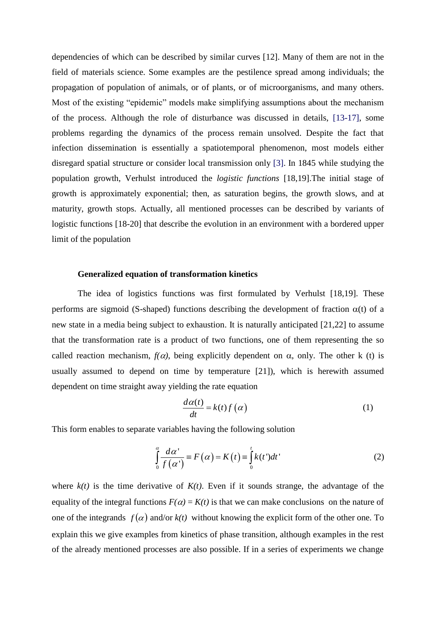dependencies of which can be described by similar curves [12]. Many of them are not in the field of materials science. Some examples are the pestilence spread among individuals; the propagation of population of animals, or of plants, or of microorganisms, and many others. Most of the existing "epidemic" models make simplifying assumptions about the mechanism of the process. Although the role of disturbance was discussed in details, [13-17], some problems regarding the dynamics of the process remain unsolved. Despite the fact that infection dissemination is essentially a spatiotemporal phenomenon, most models either disregard spatial structure or consider local transmission only [3]. In 1845 while studying the population growth, Verhulst introduced the *logistic functions* [18,19].The initial stage of growth is approximately exponential; then, as saturation begins, the growth slows, and at maturity, growth stops. Actually, all mentioned processes can be described by variants of logistic functions [18-20] that describe the evolution in an environment with a bordered upper limit of the population

### **Generalized equation of transformation kinetics**

The idea of logistics functions was first formulated by Verhulst [18,19]. These performs are sigmoid (S-shaped) functions describing the development of fraction  $\alpha(t)$  of a new state in a media being subject to exhaustion. It is naturally anticipated [21,22] to assume that the transformation rate is a product of two functions, one of them representing the so called reaction mechanism,  $f(\alpha)$ , being explicitly dependent on  $\alpha$ , only. The other k (t) is usually assumed to depend on time by temperature [21]), which is herewith assumed dependent on time straight away yielding the rate equation

$$
\frac{d\alpha(t)}{dt} = k(t)f(\alpha) \tag{1}
$$

This form enables to separate variables having the following solution

$$
\int_{0}^{\alpha} \frac{d\alpha'}{f(\alpha')} \equiv F(\alpha) = K(t) \equiv \int_{0}^{t} k(t')dt'
$$
\n(2)

where  $k(t)$  is the time derivative of  $K(t)$ . Even if it sounds strange, the advantage of the equality of the integral functions  $F(\alpha) = K(t)$  is that we can make conclusions on the nature of one of the integrands  $f(\alpha)$  and/or  $k(t)$  without knowing the explicit form of the other one. To explain this we give examples from kinetics of phase transition, although examples in the rest of the already mentioned processes are also possible. If in a series of experiments we change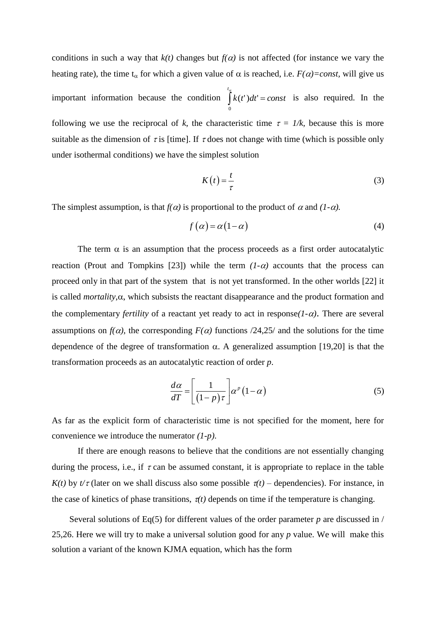conditions in such a way that  $k(t)$  changes but  $f(\alpha)$  is not affected (for instance we vary the heating rate), the time  $t_{\alpha}$  for which a given value of  $\alpha$  is reached, i.e.  $F(\alpha) = const$ , will give us important information because the condition  $\int k(t')dt' = const$ *t*  $\int_a^a k(t')dt' =$ 0  $(t')dt' = const$  is also required. In the following we use the reciprocal of k, the characteristic time  $\tau = 1/k$ , because this is more suitable as the dimension of  $\tau$  is [time]. If  $\tau$  does not change with time (which is possible only under isothermal conditions) we have the simplest solution

$$
K(t) = \frac{t}{\tau} \tag{3}
$$

The simplest assumption, is that  $f(\alpha)$  is proportional to the product of  $\alpha$  and  $(1-\alpha)$ .

$$
f(\alpha) = \alpha(1 - \alpha) \tag{4}
$$

The term  $\alpha$  is an assumption that the process proceeds as a first order autocatalytic reaction (Prout and Tompkins [23]) while the term  $(1-\alpha)$  accounts that the process can proceed only in that part of the system that is not yet transformed. In the other worlds [22] it is called *mortality*, $\alpha$ , which subsists the reactant disappearance and the product formation and the complementary *fertility* of a reactant yet ready to act in response $(1-\alpha)$ . There are several assumptions on  $f(\alpha)$ , the corresponding  $F(\alpha)$  functions /24,25/ and the solutions for the time dependence of the degree of transformation  $\alpha$ . A generalized assumption [19,20] is that the transformation proceeds as an autocatalytic reaction of order *p*.

$$
\frac{d\alpha}{dT} = \left[\frac{1}{(1-p)\tau}\right] \alpha^p (1-\alpha) \tag{5}
$$

As far as the explicit form of characteristic time is not specified for the moment, here for convenience we introduce the numerator *(1-p)*.

If there are enough reasons to believe that the conditions are not essentially changing during the process, i.e., if  $\tau$  can be assumed constant, it is appropriate to replace in the table *K(t)* by  $t/\tau$  (later on we shall discuss also some possible  $\tau(t)$  – dependencies). For instance, in the case of kinetics of phase transitions,  $\tau(t)$  depends on time if the temperature is changing.

Several solutions of Eq(5) for different values of the order parameter  $p$  are discussed in / 25,26. Here we will try to make a universal solution good for any *p* value. We will make this solution a variant of the known KJMA equation, which has the form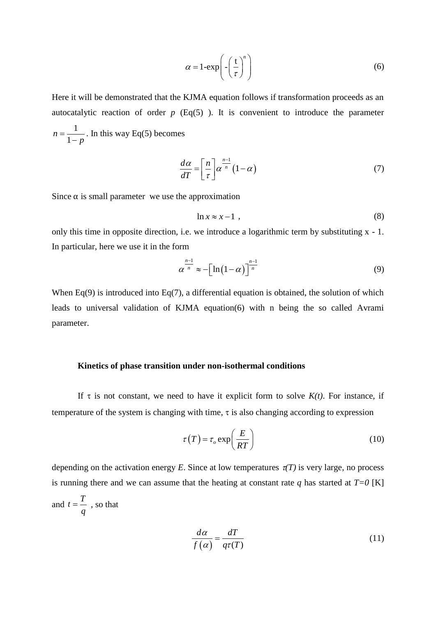$$
\alpha = 1 - \exp\left(-\left(\frac{t}{\tau}\right)^n\right) \tag{6}
$$

Here it will be demonstrated that the KJMA equation follows if transformation proceeds as an autocatalytic reaction of order  $p$  (Eq(5)). It is convenient to introduce the parameter 1 1 *n p*  $=$ -. In this way Eq(5) becomes

$$
\frac{d\alpha}{dT} = \left[\frac{n}{\tau}\right] \alpha^{\frac{n-1}{n}} (1-\alpha) \tag{7}
$$

Since  $\alpha$  is small parameter we use the approximation

$$
\ln x \approx x - 1 \tag{8}
$$

only this time in opposite direction, i.e. we introduce a logarithmic term by substituting x - 1. In particular, here we use it in the form

$$
\alpha^{\frac{n-1}{n}} \approx -\left[\ln\left(1-\alpha\right)\right]^{\frac{n-1}{n}}\tag{9}
$$

When  $Eq(9)$  is introduced into  $Eq(7)$ , a differential equation is obtained, the solution of which leads to universal validation of KJMA equation(6) with n being the so called Avrami parameter.

## **Kinetics of phase transition under non-isothermal conditions**

If  $\tau$  is not constant, we need to have it explicit form to solve  $K(t)$ . For instance, if temperature of the system is changing with time,  $\tau$  is also changing according to expression

$$
\tau(T) = \tau_o \exp\left(\frac{E}{RT}\right) \tag{10}
$$

depending on the activation energy *E*. Since at low temperatures  $\pi(T)$  is very large, no process is running there and we can assume that the heating at constant rate  $q$  has started at  $T=0$  [K] and *q*  $t = \frac{T}{t}$ , so that

$$
\frac{d\alpha}{f(\alpha)} = \frac{dT}{q\tau(T)}\tag{11}
$$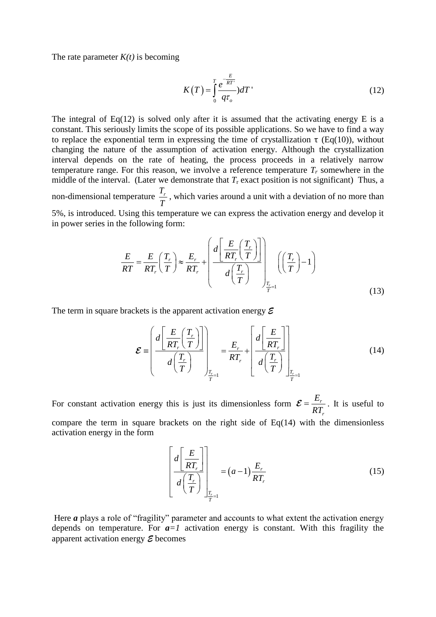The rate parameter  $K(t)$  is becoming

$$
K(T) = \int_{0}^{T} \frac{e^{-\frac{E}{RT}}}{q\tau_o} dT
$$
\n(12)

The integral of Eq(12) is solved only after it is assumed that the activating energy E is a constant. This seriously limits the scope of its possible applications. So we have to find a way to replace the exponential term in expressing the time of crystallization  $\tau$  (Eq(10)), without changing the nature of the assumption of activation energy. Although the crystallization interval depends on the rate of heating, the process proceeds in a relatively narrow temperature range. For this reason, we involve a reference temperature  $T_r$  somewhere in the middle of the interval. (Later we demonstrate that  $T_r$  exact position is not significant) Thus, a non-dimensional temperature *Tr T* , which varies around a unit with a deviation of no more than 5%, is introduced. Using this temperature we can express the activation energy and develop it in power series in the following form:

ne following form:  
\n
$$
\frac{E}{RT} = \frac{E}{RT_r} \left(\frac{T_r}{T}\right) \approx \frac{E_r}{RT_r} + \left(\frac{d\left[\frac{E}{RT_r}\left(\frac{T_r}{T}\right)\right]}{d\left(\frac{T_r}{T}\right)}\right)_{\frac{T_r}{T} = 1} \left(\left(\frac{T_r}{T}\right) - 1\right)
$$
\n(13)

The term in square brackets is the apparent activation energy *E*

$$
\mathcal{E} = \left(\frac{d\left[\frac{E}{RT_r}\left(\frac{T_r}{T}\right)\right]}{d\left(\frac{T_r}{T}\right)}\right)_{\frac{T_r}{T}} = \frac{E_r}{RT_r} + \left[\frac{d\left[\frac{E}{RT_r}\right]}{d\left(\frac{T_r}{T}\right)}\right]_{\frac{T_r}{T}} \tag{14}
$$

For constant activation energy this is just its dimensionless form  $\mathcal{E} = \frac{L_r}{2\pi\epsilon}$ *r E RT*  $=\frac{E_r}{2\pi}$ . It is useful to compare the term in square brackets on the right side of  $Eq(14)$  with the dimensionless activation energy in the form

$$
\left[\frac{d\left[\frac{E}{RT_r}\right]}{d\left(\frac{T_r}{T}\right)}\right]_{\frac{T_r}{T}=1} = (a-1)\frac{E_r}{RT_r}
$$
\n(15)

Here *a* plays a role of "fragility" parameter and accounts to what extent the activation energy depends on temperature. For  $a = 1$  activation energy is constant. With this fragility the apparent activation energy *E* becomes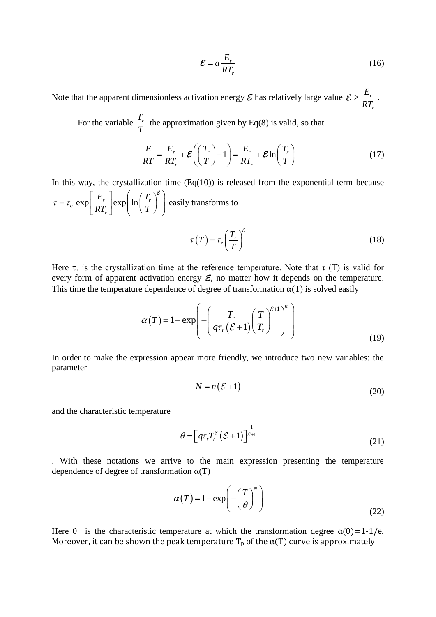$$
\mathcal{E} = a \frac{E_r}{RT_r} \tag{16}
$$

Note that the apparent dimensionless activation energy  $\mathcal E$  has relatively large value  $\mathcal E \geq \frac{L}{2\pi}$ *r E RT*  $\geq \frac{L_r}{2\pi}$ .

For the variable  $\frac{T_r}{T}$ *T* the approximation given by  $Eq(8)$  is valid, so that

$$
\frac{E}{RT} = \frac{E_r}{RT_r} + \mathcal{E}\left(\left(\frac{T_r}{T}\right) - 1\right) = \frac{E_r}{RT_r} + \mathcal{E}\ln\left(\frac{T_r}{T}\right)
$$
(17)

In this way, the crystallization time  $(Eq(10))$  is released from the exponential term because  $\sum_{c} \exp\left[\frac{E_r}{RT}\right] \exp\left[\ln\left(\frac{T_r}{T}\right)\right]$ *r*  $E_r$ <sub>exp</sub> $\int$ <sub>lexp</sub> $\int$  In  $\left(\frac{T}{T}\right)$  $\frac{E_r}{RT_r}$  exp  $\ln\left(\frac{I_r}{T}\right)$ In this way, the crystallization time<br> $\tau = \tau_o \exp\left[\frac{E_r}{RT}\right] \exp\left[\ln\left(\frac{T_r}{T}\right)^{\epsilon}\right]$  easi  $= \tau_o \exp\left[\frac{E_r}{RT_r}\right] \exp\left(\ln\left(\frac{T_r}{T}\right)^{\varepsilon}\right)$  easi easily transforms to  $\tau_r = \tau_r \frac{I_r}{T}$  $T = \tau_r \left( \frac{T}{T} \right)$ *T*  $\tau(T) = \tau_r \left(\frac{T_r}{T}\right)^c$ (18)

Here  $\tau_r$  is the crystallization time at the reference temperature. Note that  $\tau(T)$  is valid for every form of apparent activation energy *E*, no matter how it depends on the temperature. This time the temperature dependence of degree of transformation  $\alpha(T)$  is solved easily<br> $\left(\begin{array}{cc} T & \left(T\right)^{\mathcal{E}+1}\end{array}\right)^n$ 

$$
\alpha(T) = 1 - \exp\left(-\left(\frac{T_r}{q\tau_r(\mathcal{E}+1)}\left(\frac{T}{T_r}\right)^{\mathcal{E}+1}\right)^n\right)
$$
\n(19)

In order to make the expression appear more friendly, we introduce two new variables: the parameter

$$
N = n(\mathcal{E} + 1) \tag{20}
$$

and the characteristic temperature

$$
\theta = \left[ q \tau_r T_r^{\varepsilon} \left( \mathcal{E} + 1 \right) \right]^{\frac{1}{\varepsilon + 1}} \tag{21}
$$

. With these notations we arrive to the main expression presenting the temperature dependence of degree of transformation  $\alpha(T)$ 

$$
\alpha(T) = 1 - \exp\left(-\left(\frac{T}{\theta}\right)^N\right)
$$
\n(22)

Here  $\theta$  is the characteristic temperature at which the transformation degree  $\alpha(\theta)=1-1/e$ . Moreover, it can be shown the peak temperature  $T_p$  of the  $\alpha(T)$  curve is approximately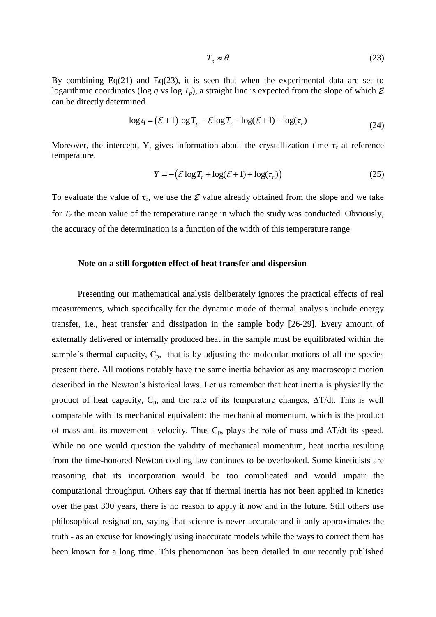$$
T_p \approx \theta \tag{23}
$$

By combining  $Eq(21)$  and  $Eq(23)$ , it is seen that when the experimental data are set to logarithmic coordinates (log *q* vs log  $T_p$ ), a straight line is expected from the slope of which  $\mathcal E$ can be directly determined

\n (a) 
$$
\log q = (\mathcal{E} + 1) \log T_p - \mathcal{E} \log T_r - \log(\mathcal{E} + 1) - \log(\tau_r)
$$
\n

\n\n (24)\n

Moreover, the intercept, Y, gives information about the crystallization time  $\tau_r$  at reference temperature.

$$
Y = -(\mathcal{E}\log T_r + \log(\mathcal{E} + 1) + \log(\tau_r))
$$
\n(25)

To evaluate the value of  $\tau_r$ , we use the  $\mathcal E$  value already obtained from the slope and we take for  $T_r$  the mean value of the temperature range in which the study was conducted. Obviously, the accuracy of the determination is a function of the width of this temperature range

### **Note on a still forgotten effect of heat transfer and dispersion**

Presenting our mathematical analysis deliberately ignores the practical effects of real measurements, which specifically for the dynamic mode of thermal analysis include energy transfer, i.e., heat transfer and dissipation in the sample body [26-29]. Every amount of externally delivered or internally produced heat in the sample must be equilibrated within the sample's thermal capacity,  $C_p$ , that is by adjusting the molecular motions of all the species present there. All motions notably have the same inertia behavior as any macroscopic motion described in the Newton´s historical laws. Let us remember that heat inertia is physically the product of heat capacity,  $C_p$ , and the rate of its temperature changes,  $\Delta T/dt$ . This is well comparable with its mechanical equivalent: the mechanical momentum, which is the product of mass and its movement - velocity. Thus  $C_p$ , plays the role of mass and  $\Delta T/dt$  its speed. While no one would question the validity of mechanical momentum, heat inertia resulting from the time-honored Newton cooling law continues to be overlooked. Some kineticists are reasoning that its incorporation would be too complicated and would impair the computational throughput. Others say that if thermal inertia has not been applied in kinetics over the past 300 years, there is no reason to apply it now and in the future. Still others use philosophical resignation, saying that science is never accurate and it only approximates the truth - as an excuse for knowingly using inaccurate models while the ways to correct them has been known for a long time. This phenomenon has been detailed in our recently published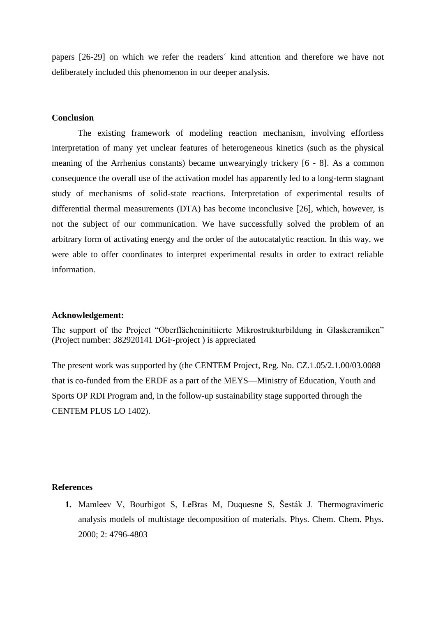papers [26-29] on which we refer the readers´ kind attention and therefore we have not deliberately included this phenomenon in our deeper analysis.

## **Conclusion**

The existing framework of modeling reaction mechanism, involving effortless interpretation of many yet unclear features of heterogeneous kinetics (such as the physical meaning of the Arrhenius constants) became unwearyingly trickery [6 - 8]. As a common consequence the overall use of the activation model has apparently led to a long-term stagnant study of mechanisms of solid-state reactions. Interpretation of experimental results of differential thermal measurements (DTA) has become inconclusive [26], which, however, is not the subject of our communication. We have successfully solved the problem of an arbitrary form of activating energy and the order of the autocatalytic reaction. In this way, we were able to offer coordinates to interpret experimental results in order to extract reliable information.

#### **Acknowledgement:**

The support of the Project "Oberflächeninitiierte Mikrostrukturbildung in Glaskeramiken" (Project number: 382920141 DGF-project ) is appreciated

The present work was supported by (the CENTEM Project, Reg. No. CZ.1.05/2.1.00/03.0088 that is co-funded from the ERDF as a part of the MEYS—Ministry of Education, Youth and Sports OP RDI Program and, in the follow-up sustainability stage supported through the CENTEM PLUS LO 1402).

### **References**

**1.** Mamleev V, Bourbigot S, LeBras M, Duquesne S, Šesták J. Thermogravimeric analysis models of multistage decomposition of materials. Phys. Chem. Chem. Phys. 2000; 2: 4796-4803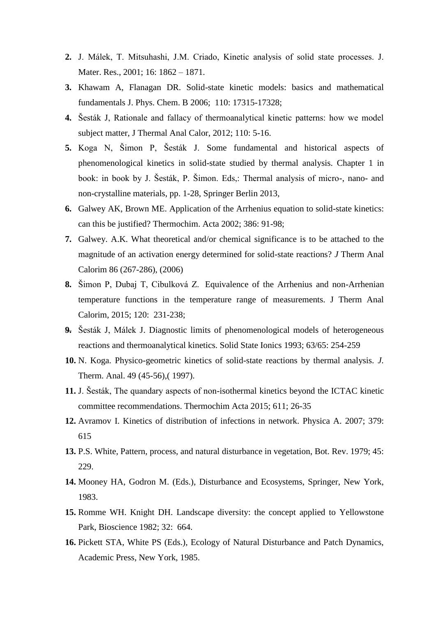- **2.** J. Málek, T. Mitsuhashi, J.M. Criado, Kinetic analysis of solid state processes. J. Mater. Res., 2001; 16: 1862 – 1871.
- **3.** Khawam A, Flanagan DR. Solid-state kinetic models: basics and mathematical fundamentals J. Phys. Chem. B 2006; 110: 17315-17328;
- **4.** Šesták J, Rationale and fallacy of thermoanalytical kinetic patterns: how we model subject matter, J Thermal Anal Calor, 2012; 110: 5-16.
- **5.** Koga N, Šimon P, Šesták J. Some fundamental and historical aspects of phenomenological kinetics in solid-state studied by thermal analysis. Chapter 1 in book: in book by J. Šesták, P. Šimon. Eds,: Thermal analysis of micro-, nano- and non-crystalline materials, pp. 1-28, Springer Berlin 2013,
- **6.** Galwey AK, Brown ME. Application of the Arrhenius equation to solid-state kinetics: can this be justified? Thermochim. Acta 2002; 386: 91-98;
- **7.** Galwey. A.K. What theoretical and/or chemical significance is to be attached to the magnitude of an activation energy determined for solid-state reactions? *J* Therm Anal Calorim 86 (267-286), (2006)
- **8.** Šimon P, Dubaj T, Cibulková Z. Equivalence of the Arrhenius and non-Arrhenian temperature functions in the temperature range of measurements. J Therm Anal Calorim, 2015; 120: 231-238;
- **9.** Šesták J, Málek J. Diagnostic limits of phenomenological models of heterogeneous reactions and thermoanalytical kinetics. Solid State Ionics 1993; 63/65: 254-259
- **10.** N. Koga. Physico-geometric kinetics of solid-state reactions by thermal analysis*. J.*  Therm. Anal. 49 (45-56),( 1997).
- **11.** J. Šesták, The quandary aspects of non-isothermal kinetics beyond the ICTAC kinetic committee recommendations. Thermochim Acta 2015; 611; 26-35
- **12.** Avramov I. Kinetics of distribution of infections in network. Physica A. 2007; 379: 615
- **13.** P.S. White, Pattern, process, and natural disturbance in vegetation, Bot. Rev. 1979; 45: 229.
- **14.** Mooney HA, Godron M. (Eds.), Disturbance and Ecosystems, Springer, New York, 1983.
- **15.** Romme WH. Knight DH. Landscape diversity: the concept applied to Yellowstone Park, Bioscience 1982; 32: 664.
- **16.** Pickett STA, White PS (Eds.), Ecology of Natural Disturbance and Patch Dynamics, Academic Press, New York, 1985.